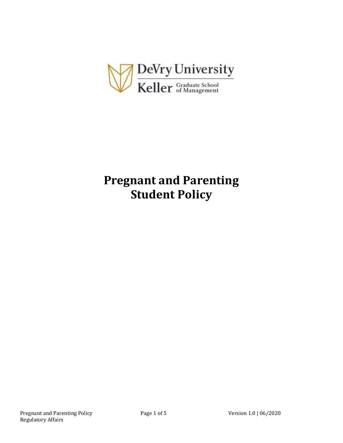

# **Pregnant and Parenting Student Policy**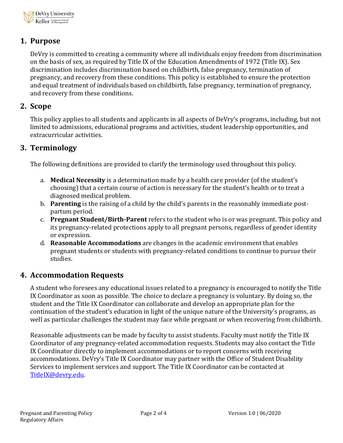

# **1. Purpose**

DeVry is committed to creating a community where all individuals enjoy freedom from discrimination on the basis of sex, as required by Title IX of the Education Amendments of 1972 (Title IX). Sex discrimination includes discrimination based on childbirth, false pregnancy, termination of pregnancy, and recovery from these conditions. This policy is established to ensure the protection and equal treatment of individuals based on childbirth, false pregnancy, termination of pregnancy, and recovery from these conditions.

## **2. Scope**

This policy applies to all students and applicants in all aspects of DeVry's programs, including, but not limited to admissions, educational programs and activities, student leadership opportunities, and extracurricular activities.

## **3. Terminology**

The following definitions are provided to clarify the terminology used throughout this policy.

- a. **Medical Necessity** is a determination made by a health care provider (of the student's choosing) that a certain course of action is necessary for the student's health or to treat a diagnosed medical problem.
- b. **Parenting** is the raising of a child by the child's parents in the reasonably immediate postpartum period.
- c. **Pregnant Student/Birth-Parent** refers to the student who is or was pregnant. This policy and its pregnancy-related protections apply to all pregnant persons, regardless of gender identity or expression.
- d. **Reasonable Accommodations** are changes in the academic environment that enables pregnant students or students with pregnancy-related conditions to continue to pursue their studies.

## **4. Accommodation Requests**

A student who foresees any educational issues related to a pregnancy is encouraged to notify the Title IX Coordinator as soon as possible. The choice to declare a pregnancy is voluntary. By doing so, the student and the Title IX Coordinator can collaborate and develop an appropriate plan for the continuation of the student's education in light of the unique nature of the University's programs, as well as particular challenges the student may face while pregnant or when recovering from childbirth.

Reasonable adjustments can be made by faculty to assist students. Faculty must notify the Title IX Coordinator of any pregnancy-related accommodation requests. Students may also contact the Title IX Coordinator directly to implement accommodations or to report concerns with receiving accommodations. DeVry's Title IX Coordinator may partner with the Office of Student Disability Services to implement services and support. The Title IX Coordinator can be contacted at [TitleIX@devry.edu.](mailto:TitleIX@devry.edu)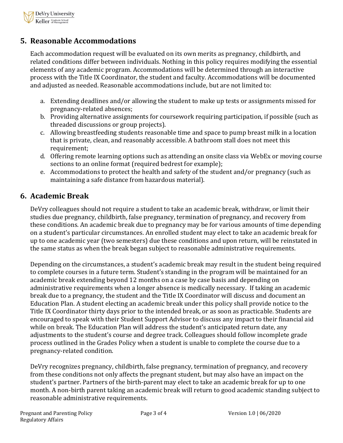

# **5. Reasonable Accommodations**

Each accommodation request will be evaluated on its own merits as pregnancy, childbirth, and related conditions differ between individuals. Nothing in this policy requires modifying the essential elements of any academic program. Accommodations will be determined through an interactive process with the Title IX Coordinator, the student and faculty. Accommodations will be documented and adjusted as needed. Reasonable accommodations include, but are not limited to:

- a. Extending deadlines and/or allowing the student to make up tests or assignments missed for pregnancy-related absences;
- b. Providing alternative assignments for coursework requiring participation, if possible (such as threaded discussions or group projects).
- c. Allowing breastfeeding students reasonable time and space to pump breast milk in a location that is private, clean, and reasonably accessible. A bathroom stall does not meet this requirement;
- d. Offering remote learning options such as attending an onsite class via WebEx or moving course sections to an online format (required bedrest for example);
- e. Accommodations to protect the health and safety of the student and/or pregnancy (such as maintaining a safe distance from hazardous material).

# **6. Academic Break**

DeVry colleagues should not require a student to take an academic break, withdraw, or limit their studies due pregnancy, childbirth, false pregnancy, termination of pregnancy, and recovery from these conditions. An academic break due to pregnancy may be for various amounts of time depending on a student's particular circumstances. An enrolled student may elect to take an academic break for up to one academic year (two semesters) due these conditions and upon return, will be reinstated in the same status as when the break began subject to reasonable administrative requirements.

Depending on the circumstances, a student's academic break may result in the student being required to complete courses in a future term. Student's standing in the program will be maintained for an academic break extending beyond 12 months on a case by case basis and depending on administrative requirements when a longer absence is medically necessary. If taking an academic break due to a pregnancy, the student and the Title IX Coordinator will discuss and document an Education Plan. A student electing an academic break under this policy shall provide notice to the Title IX Coordinator thirty days prior to the intended break, or as soon as practicable. Students are encouraged to speak with their Student Support Advisor to discuss any impact to their financial aid while on break. The Education Plan will address the student's anticipated return date, any adjustments to the student's course and degree track. Colleagues should follow incomplete grade process outlined in the Grades Policy when a student is unable to complete the course due to a pregnancy-related condition.

DeVry recognizes pregnancy, childbirth, false pregnancy, termination of pregnancy, and recovery from these conditions not only affects the pregnant student, but may also have an impact on the student's partner. Partners of the birth-parent may elect to take an academic break for up to one month. A non-birth parent taking an academic break will return to good academic standing subject to reasonable administrative requirements.